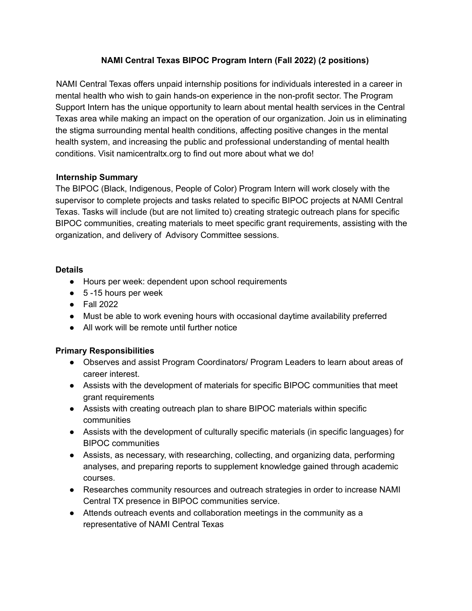# **NAMI Central Texas BIPOC Program Intern (Fall 2022) (2 positions)**

NAMI Central Texas offers unpaid internship positions for individuals interested in a career in mental health who wish to gain hands-on experience in the non-profit sector. The Program Support Intern has the unique opportunity to learn about mental health services in the Central Texas area while making an impact on the operation of our organization. Join us in eliminating the stigma surrounding mental health conditions, affecting positive changes in the mental health system, and increasing the public and professional understanding of mental health conditions. Visit namicentraltx.org to find out more about what we do!

### **Internship Summary**

The BIPOC (Black, Indigenous, People of Color) Program Intern will work closely with the supervisor to complete projects and tasks related to specific BIPOC projects at NAMI Central Texas. Tasks will include (but are not limited to) creating strategic outreach plans for specific BIPOC communities, creating materials to meet specific grant requirements, assisting with the organization, and delivery of Advisory Committee sessions.

#### **Details**

- Hours per week: dependent upon school requirements
- $\bullet$  5 -15 hours per week
- Fall 2022
- Must be able to work evening hours with occasional daytime availability preferred
- All work will be remote until further notice

# **Primary Responsibilities**

- Observes and assist Program Coordinators/ Program Leaders to learn about areas of career interest.
- Assists with the development of materials for specific BIPOC communities that meet grant requirements
- Assists with creating outreach plan to share BIPOC materials within specific communities
- Assists with the development of culturally specific materials (in specific languages) for BIPOC communities
- Assists, as necessary, with researching, collecting, and organizing data, performing analyses, and preparing reports to supplement knowledge gained through academic courses.
- Researches community resources and outreach strategies in order to increase NAMI Central TX presence in BIPOC communities service.
- Attends outreach events and collaboration meetings in the community as a representative of NAMI Central Texas